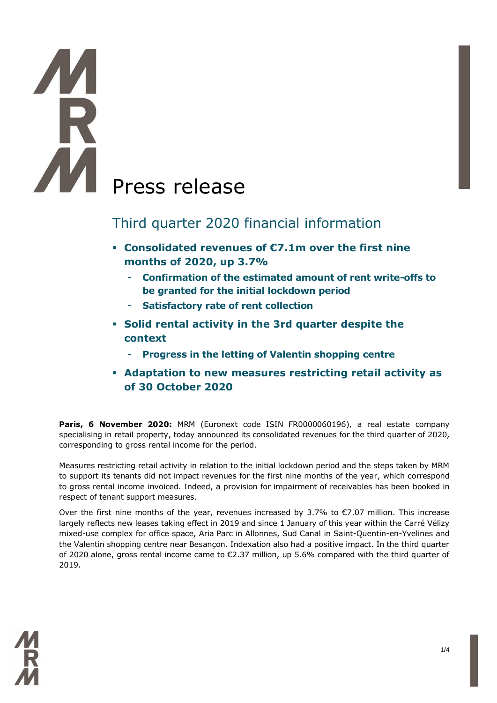# Press release

## Third quarter 2020 financial information

- **Consolidated revenues of €7.1m over the first nine months of 2020, up 3.7%**
	- **Confirmation of the estimated amount of rent write-offs to be granted for the initial lockdown period**
	- **Satisfactory rate of rent collection**
- **Solid rental activity in the 3rd quarter despite the context**
	- **Progress in the letting of Valentin shopping centre**
- **Adaptation to new measures restricting retail activity as of 30 October 2020**

Paris, 6 November 2020: MRM (Euronext code ISIN FR0000060196), a real estate company specialising in retail property, today announced its consolidated revenues for the third quarter of 2020, corresponding to gross rental income for the period.

Measures restricting retail activity in relation to the initial lockdown period and the steps taken by MRM to support its tenants did not impact revenues for the first nine months of the year, which correspond to gross rental income invoiced. Indeed, a provision for impairment of receivables has been booked in respect of tenant support measures.

Over the first nine months of the year, revenues increased by 3.7% to  $\epsilon$ 7.07 million. This increase largely reflects new leases taking effect in 2019 and since 1 January of this year within the Carré Vélizy mixed-use complex for office space, Aria Parc in Allonnes, Sud Canal in Saint-Quentin-en-Yvelines and the Valentin shopping centre near Besançon. Indexation also had a positive impact. In the third quarter of 2020 alone, gross rental income came to  $\epsilon$ 2.37 million, up 5.6% compared with the third quarter of 2019.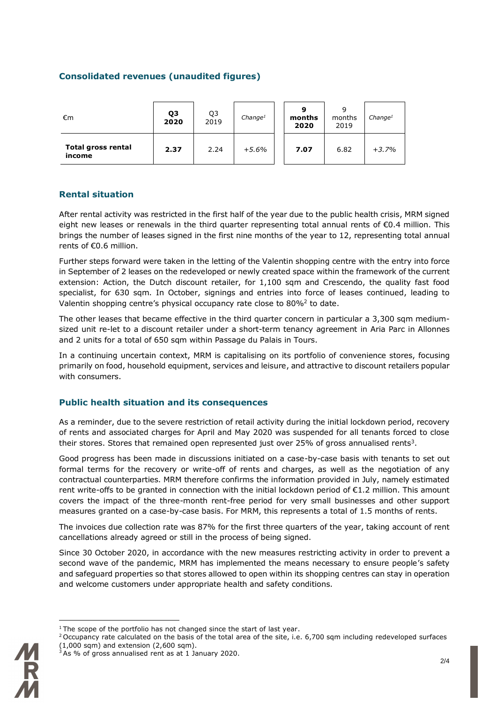#### **Consolidated revenues (unaudited figures)**

| €m                           | Q3<br>2020 | Q3<br>2019 | Change <sup>1</sup> | О<br>months<br>2020 | 9<br>months<br>2019 | Change <sup>1</sup> |
|------------------------------|------------|------------|---------------------|---------------------|---------------------|---------------------|
| Total gross rental<br>income | 2.37       | 2.24       | $+5.6%$             | 7.07                | 6.82                | $+3.7%$             |

#### **Rental situation**

After rental activity was restricted in the first half of the year due to the public health crisis, MRM signed eight new leases or renewals in the third quarter representing total annual rents of €0.4 million. This brings the number of leases signed in the first nine months of the year to 12, representing total annual rents of €0.6 million.

Further steps forward were taken in the letting of the Valentin shopping centre with the entry into force in September of 2 leases on the redeveloped or newly created space within the framework of the current extension: Action, the Dutch discount retailer, for 1,100 sqm and Crescendo, the quality fast food specialist, for 630 sqm. In October, signings and entries into force of leases continued, leading to Valentin shopping centre's physical occupancy rate close to 80%<sup>2</sup> to date.

The other leases that became effective in the third quarter concern in particular a 3,300 sqm mediumsized unit re-let to a discount retailer under a short-term tenancy agreement in Aria Parc in Allonnes and 2 units for a total of 650 sqm within Passage du Palais in Tours.

In a continuing uncertain context, MRM is capitalising on its portfolio of convenience stores, focusing primarily on food, household equipment, services and leisure, and attractive to discount retailers popular with consumers.

#### **Public health situation and its consequences**

As a reminder, due to the severe restriction of retail activity during the initial lockdown period, recovery of rents and associated charges for April and May 2020 was suspended for all tenants forced to close their stores. Stores that remained open represented just over 25% of gross annualised rents<sup>3</sup>.

Good progress has been made in discussions initiated on a case-by-case basis with tenants to set out formal terms for the recovery or write-off of rents and charges, as well as the negotiation of any contractual counterparties. MRM therefore confirms the information provided in July, namely estimated rent write-offs to be granted in connection with the initial lockdown period of €1.2 million. This amount covers the impact of the three-month rent-free period for very small businesses and other support measures granted on a case-by-case basis. For MRM, this represents a total of 1.5 months of rents.

The invoices due collection rate was 87% for the first three quarters of the year, taking account of rent cancellations already agreed or still in the process of being signed.

Since 30 October 2020, in accordance with the new measures restricting activity in order to prevent a second wave of the pandemic, MRM has implemented the means necessary to ensure people's safety and safeguard properties so that stores allowed to open within its shopping centres can stay in operation and welcome customers under appropriate health and safety conditions.

 $1$ <sup>1</sup> The scope of the portfolio has not changed since the start of last year.

 $2$  Occupancy rate calculated on the basis of the total area of the site, i.e. 6,700 sqm including redeveloped surfaces (1,000 sqm) and extension (2,600 sqm).

 $3$  As % of gross annualised rent as at 1 January 2020.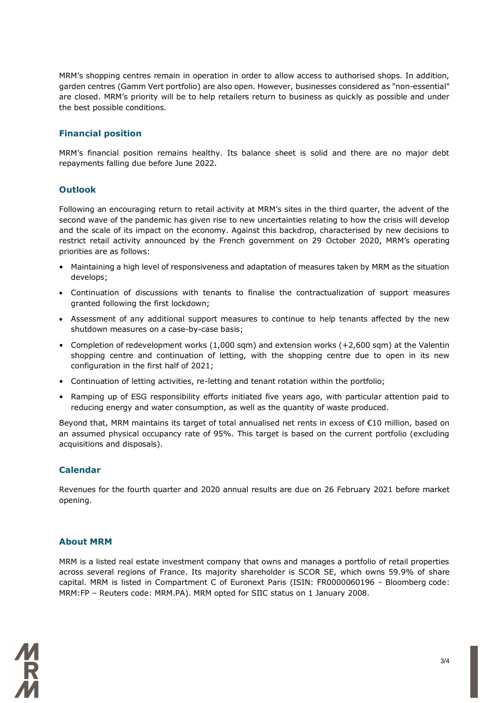MRM's shopping centres remain in operation in order to allow access to authorised shops. In addition, garden centres (Gamm Vert portfolio) are also open. However, businesses considered as "non-essential" are closed. MRM's priority will be to help retailers return to business as quickly as possible and under the best possible conditions.

#### **Financial position**

MRM's financial position remains healthy. Its balance sheet is solid and there are no major debt repayments falling due before June 2022.

#### **Outlook**

Following an encouraging return to retail activity at MRM's sites in the third quarter, the advent of the second wave of the pandemic has given rise to new uncertainties relating to how the crisis will develop and the scale of its impact on the economy. Against this backdrop, characterised by new decisions to restrict retail activity announced by the French government on 29 October 2020, MRM's operating priorities are as follows:

- Maintaining a high level of responsiveness and adaptation of measures taken by MRM as the situation develops;
- Continuation of discussions with tenants to finalise the contractualization of support measures granted following the first lockdown;
- Assessment of any additional support measures to continue to help tenants affected by the new shutdown measures on a case-by-case basis;
- Completion of redevelopment works (1,000 sqm) and extension works (+2,600 sqm) at the Valentin shopping centre and continuation of letting, with the shopping centre due to open in its new configuration in the first half of 2021;
- Continuation of letting activities, re-letting and tenant rotation within the portfolio;
- Ramping up of ESG responsibility efforts initiated five years ago, with particular attention paid to reducing energy and water consumption, as well as the quantity of waste produced.

Beyond that, MRM maintains its target of total annualised net rents in excess of €10 million, based on an assumed physical occupancy rate of 95%. This target is based on the current portfolio (excluding acquisitions and disposals).

#### **Calendar**

Revenues for the fourth quarter and 2020 annual results are due on 26 February 2021 before market opening.

#### **About MRM**

MRM is a listed real estate investment company that owns and manages a portfolio of retail properties across several regions of France. Its majority shareholder is SCOR SE, which owns 59.9% of share capital. MRM is listed in Compartment C of Euronext Paris (ISIN: FR0000060196 - Bloomberg code: MRM:FP – Reuters code: MRM.PA). MRM opted for SIIC status on 1 January 2008.